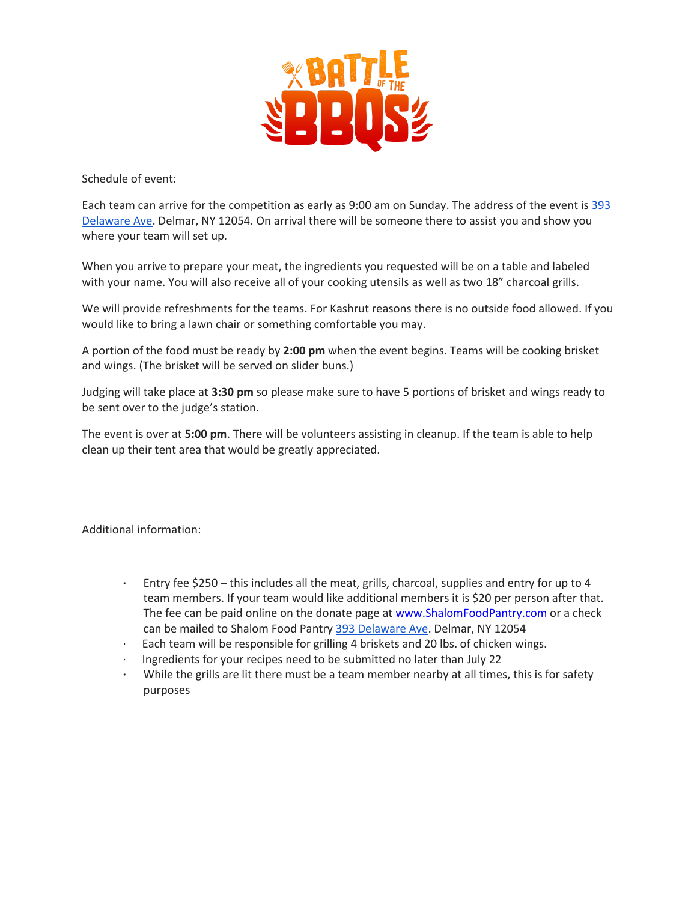

Schedule of event:

Each team can arrive for the competition as early as 9:00 am on Sunday. The address of the event is [393](https://maps.google.com/?q=393+Delaware+Ave&entry=gmail&source=g)  [Delaware Ave.](https://maps.google.com/?q=393+Delaware+Ave&entry=gmail&source=g) Delmar, NY 12054. On arrival there will be someone there to assist you and show you where your team will set up.

When you arrive to prepare your meat, the ingredients you requested will be on a table and labeled with your name. You will also receive all of your cooking utensils as well as two 18" charcoal grills.

We will provide refreshments for the teams. For Kashrut reasons there is no outside food allowed. If you would like to bring a lawn chair or something comfortable you may.

A portion of the food must be ready by **2:00 pm** when the event begins. Teams will be cooking brisket and wings. (The brisket will be served on slider buns.)

Judging will take place at **3:30 pm** so please make sure to have 5 portions of brisket and wings ready to be sent over to the judge's station.

The event is over at **5:00 pm**. There will be volunteers assisting in cleanup. If the team is able to help clean up their tent area that would be greatly appreciated.

Additional information:

- **·** Entry fee \$250 this includes all the meat, grills, charcoal, supplies and entry for up to 4 team members. If your team would like additional members it is \$20 per person after that. The fee can be paid online on the donate page at [www.ShalomFoodPantry.com](http://www.shalomfoodpantry.com/) or a check can be mailed to Shalom Food Pantry [393 Delaware Ave.](https://maps.google.com/?q=393+Delaware+Ave&entry=gmail&source=g) Delmar, NY 12054
- · Each team will be responsible for grilling 4 briskets and 20 lbs. of chicken wings.
- · Ingredients for your recipes need to be submitted no later than July 22
- **·** While the grills are lit there must be a team member nearby at all times, this is for safety purposes